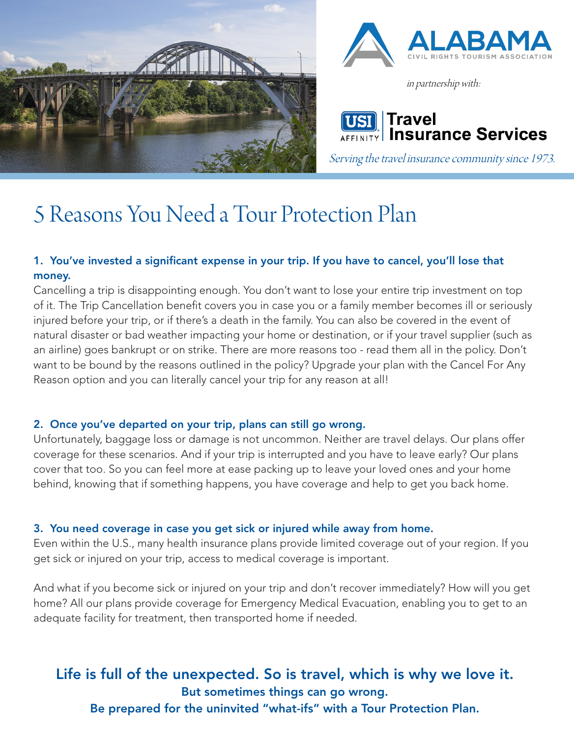



in partnership with:

Travel **Insurance Services** 

Serving the travel insurance community since 1973.

# 5 Reasons You Need a Tour Protection Plan

## 1. You've invested a significant expense in your trip. If you have to cancel, you'll lose that money.

Cancelling a trip is disappointing enough. You don't want to lose your entire trip investment on top of it. The Trip Cancellation benefit covers you in case you or a family member becomes ill or seriously injured before your trip, or if there's a death in the family. You can also be covered in the event of natural disaster or bad weather impacting your home or destination, or if your travel supplier (such as an airline) goes bankrupt or on strike. There are more reasons too - read them all in the policy. Don't want to be bound by the reasons outlined in the policy? Upgrade your plan with the Cancel For Any Reason option and you can literally cancel your trip for any reason at all!

### 2. Once you've departed on your trip, plans can still go wrong.

Unfortunately, baggage loss or damage is not uncommon. Neither are travel delays. Our plans offer coverage for these scenarios. And if your trip is interrupted and you have to leave early? Our plans cover that too. So you can feel more at ease packing up to leave your loved ones and your home behind, knowing that if something happens, you have coverage and help to get you back home.

#### 3. You need coverage in case you get sick or injured while away from home.

Even within the U.S., many health insurance plans provide limited coverage out of your region. If you get sick or injured on your trip, access to medical coverage is important.

And what if you become sick or injured on your trip and don't recover immediately? How will you get home? All our plans provide coverage for Emergency Medical Evacuation, enabling you to get to an adequate facility for treatment, then transported home if needed.

## Life is full of the unexpected. So is travel, which is why we love it. But sometimes things can go wrong.

Be prepared for the uninvited "what-ifs" with a Tour Protection Plan.